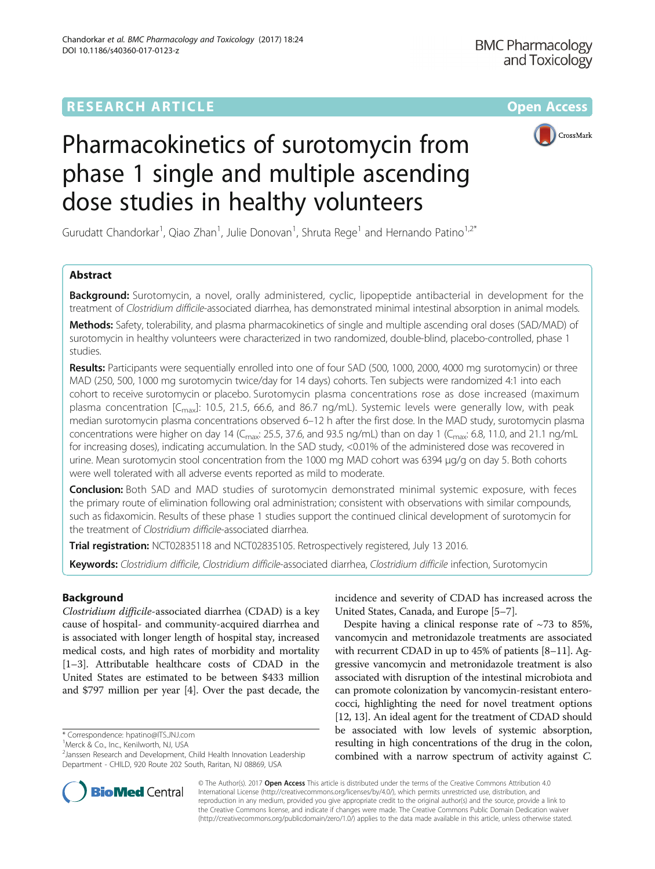

# Pharmacokinetics of surotomycin from phase 1 single and multiple ascending dose studies in healthy volunteers

Gurudatt Chandorkar<sup>1</sup>, Qiao Zhan<sup>1</sup>, Julie Donovan<sup>1</sup>, Shruta Rege<sup>1</sup> and Hernando Patino<sup>1,2\*</sup>

# Abstract

**Background:** Surotomycin, a novel, orally administered, cyclic, lipopeptide antibacterial in development for the treatment of Clostridium difficile-associated diarrhea, has demonstrated minimal intestinal absorption in animal models.

Methods: Safety, tolerability, and plasma pharmacokinetics of single and multiple ascending oral doses (SAD/MAD) of surotomycin in healthy volunteers were characterized in two randomized, double-blind, placebo-controlled, phase 1 studies.

Results: Participants were sequentially enrolled into one of four SAD (500, 1000, 2000, 4000 mg surotomycin) or three MAD (250, 500, 1000 mg surotomycin twice/day for 14 days) cohorts. Ten subjects were randomized 4:1 into each cohort to receive surotomycin or placebo. Surotomycin plasma concentrations rose as dose increased (maximum plasma concentration  $[C_{\text{max}}]$ : 10.5, 21.5, 66.6, and 86.7 ng/mL). Systemic levels were generally low, with peak median surotomycin plasma concentrations observed 6–12 h after the first dose. In the MAD study, surotomycin plasma concentrations were higher on day 14 ( $C_{\text{max}}$ : 25.5, 37.6, and 93.5 ng/mL) than on day 1 ( $C_{\text{max}}$ : 6.8, 11.0, and 21.1 ng/mL for increasing doses), indicating accumulation. In the SAD study, <0.01% of the administered dose was recovered in urine. Mean surotomycin stool concentration from the 1000 mg MAD cohort was 6394 μg/g on day 5. Both cohorts were well tolerated with all adverse events reported as mild to moderate.

**Conclusion:** Both SAD and MAD studies of surotomycin demonstrated minimal systemic exposure, with feces the primary route of elimination following oral administration; consistent with observations with similar compounds, such as fidaxomicin. Results of these phase 1 studies support the continued clinical development of surotomycin for the treatment of Clostridium difficile-associated diarrhea.

Trial registration: [NCT02835118](https://www.clinicaltrials.gov/ct2/results?term=NCT02835118&Search=Search) and [NCT02835105.](https://www.clinicaltrials.gov/ct2/results?term=NCT02835105&Search=Search) Retrospectively registered, July 13 2016.

Keywords: Clostridium difficile, Clostridium difficile-associated diarrhea, Clostridium difficile infection, Surotomycin

# Background

Clostridium difficile-associated diarrhea (CDAD) is a key cause of hospital- and community-acquired diarrhea and is associated with longer length of hospital stay, increased medical costs, and high rates of morbidity and mortality [[1](#page-7-0)–[3](#page-7-0)]. Attributable healthcare costs of CDAD in the United States are estimated to be between \$433 million and \$797 million per year [[4](#page-7-0)]. Over the past decade, the

\* Correspondence: [hpatino@ITS.JNJ.com](mailto:hpatino@ITS.JNJ.com) <sup>1</sup>

<sup>1</sup>Merck & Co., Inc., Kenilworth, NJ, USA

incidence and severity of CDAD has increased across the United States, Canada, and Europe [[5](#page-7-0)–[7](#page-7-0)].

Despite having a clinical response rate of  $\sim$ 73 to 85%, vancomycin and metronidazole treatments are associated with recurrent CDAD in up to 45% of patients [\[8](#page-7-0)–[11\]](#page-7-0). Aggressive vancomycin and metronidazole treatment is also associated with disruption of the intestinal microbiota and can promote colonization by vancomycin-resistant enterococci, highlighting the need for novel treatment options [[12](#page-7-0), [13\]](#page-7-0). An ideal agent for the treatment of CDAD should be associated with low levels of systemic absorption, resulting in high concentrations of the drug in the colon, combined with a narrow spectrum of activity against C.



© The Author(s). 2017 **Open Access** This article is distributed under the terms of the Creative Commons Attribution 4.0 International License [\(http://creativecommons.org/licenses/by/4.0/](http://creativecommons.org/licenses/by/4.0/)), which permits unrestricted use, distribution, and reproduction in any medium, provided you give appropriate credit to the original author(s) and the source, provide a link to the Creative Commons license, and indicate if changes were made. The Creative Commons Public Domain Dedication waiver [\(http://creativecommons.org/publicdomain/zero/1.0/](http://creativecommons.org/publicdomain/zero/1.0/)) applies to the data made available in this article, unless otherwise stated.

<sup>&</sup>lt;sup>2</sup> Janssen Research and Development, Child Health Innovation Leadership Department - CHILD, 920 Route 202 South, Raritan, NJ 08869, USA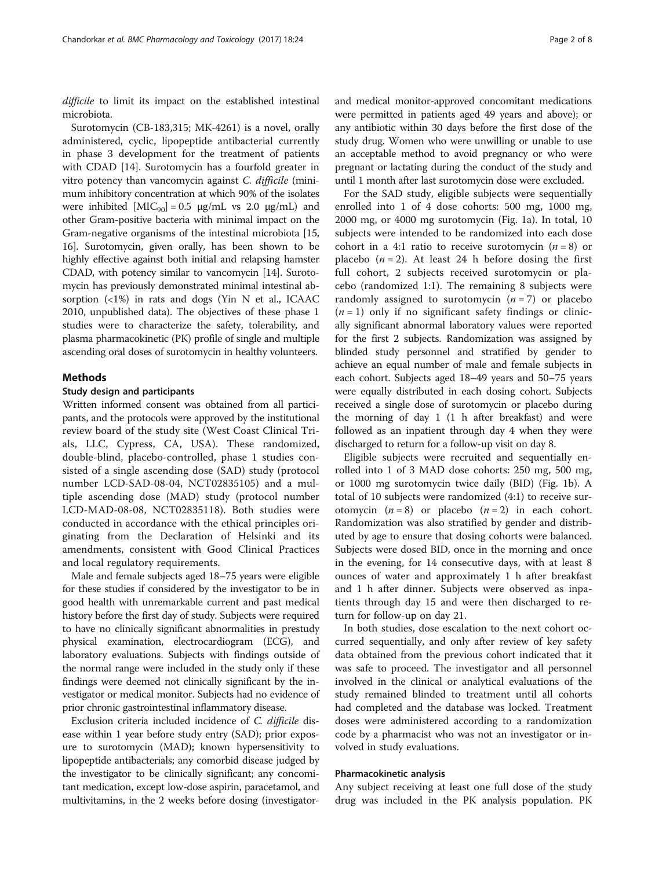difficile to limit its impact on the established intestinal microbiota.

Surotomycin (CB-183,315; MK-4261) is a novel, orally administered, cyclic, lipopeptide antibacterial currently in phase 3 development for the treatment of patients with CDAD [\[14\]](#page-7-0). Surotomycin has a fourfold greater in vitro potency than vancomycin against C. difficile (minimum inhibitory concentration at which 90% of the isolates were inhibited  $[MIC_{90}] = 0.5 \mu g/mL$  vs 2.0  $\mu g/mL$  and other Gram-positive bacteria with minimal impact on the Gram-negative organisms of the intestinal microbiota [[15](#page-7-0), [16](#page-7-0)]. Surotomycin, given orally, has been shown to be highly effective against both initial and relapsing hamster CDAD, with potency similar to vancomycin [\[14\]](#page-7-0). Surotomycin has previously demonstrated minimal intestinal absorption (<1%) in rats and dogs (Yin N et al., ICAAC 2010, unpublished data). The objectives of these phase 1 studies were to characterize the safety, tolerability, and plasma pharmacokinetic (PK) profile of single and multiple ascending oral doses of surotomycin in healthy volunteers.

# Methods

## Study design and participants

Written informed consent was obtained from all participants, and the protocols were approved by the institutional review board of the study site (West Coast Clinical Trials, LLC, Cypress, CA, USA). These randomized, double-blind, placebo-controlled, phase 1 studies consisted of a single ascending dose (SAD) study (protocol number LCD-SAD-08-04, [NCT02835105\)](https://www.clinicaltrials.gov/ct2/results?term=NCT02835105&Search=Search) and a multiple ascending dose (MAD) study (protocol number LCD-MAD-08-08, [NCT02835118\)](https://www.clinicaltrials.gov/ct2/results?term=NCT02835118&Search=Search). Both studies were conducted in accordance with the ethical principles originating from the Declaration of Helsinki and its amendments, consistent with Good Clinical Practices and local regulatory requirements.

Male and female subjects aged 18–75 years were eligible for these studies if considered by the investigator to be in good health with unremarkable current and past medical history before the first day of study. Subjects were required to have no clinically significant abnormalities in prestudy physical examination, electrocardiogram (ECG), and laboratory evaluations. Subjects with findings outside of the normal range were included in the study only if these findings were deemed not clinically significant by the investigator or medical monitor. Subjects had no evidence of prior chronic gastrointestinal inflammatory disease.

Exclusion criteria included incidence of C. difficile disease within 1 year before study entry (SAD); prior exposure to surotomycin (MAD); known hypersensitivity to lipopeptide antibacterials; any comorbid disease judged by the investigator to be clinically significant; any concomitant medication, except low-dose aspirin, paracetamol, and multivitamins, in the 2 weeks before dosing (investigatorand medical monitor-approved concomitant medications were permitted in patients aged 49 years and above); or any antibiotic within 30 days before the first dose of the study drug. Women who were unwilling or unable to use an acceptable method to avoid pregnancy or who were pregnant or lactating during the conduct of the study and until 1 month after last surotomycin dose were excluded.

For the SAD study, eligible subjects were sequentially enrolled into 1 of 4 dose cohorts: 500 mg, 1000 mg, 2000 mg, or 4000 mg surotomycin (Fig. [1a\)](#page-2-0). In total, 10 subjects were intended to be randomized into each dose cohort in a 4:1 ratio to receive surotomycin  $(n = 8)$  or placebo  $(n=2)$ . At least 24 h before dosing the first full cohort, 2 subjects received surotomycin or placebo (randomized 1:1). The remaining 8 subjects were randomly assigned to surotomycin  $(n = 7)$  or placebo  $(n = 1)$  only if no significant safety findings or clinically significant abnormal laboratory values were reported for the first 2 subjects. Randomization was assigned by blinded study personnel and stratified by gender to achieve an equal number of male and female subjects in each cohort. Subjects aged 18–49 years and 50–75 years were equally distributed in each dosing cohort. Subjects received a single dose of surotomycin or placebo during the morning of day 1 (1 h after breakfast) and were followed as an inpatient through day 4 when they were discharged to return for a follow-up visit on day 8.

Eligible subjects were recruited and sequentially enrolled into 1 of 3 MAD dose cohorts: 250 mg, 500 mg, or 1000 mg surotomycin twice daily (BID) (Fig. [1b\)](#page-2-0). A total of 10 subjects were randomized (4:1) to receive surotomycin  $(n = 8)$  or placebo  $(n = 2)$  in each cohort. Randomization was also stratified by gender and distributed by age to ensure that dosing cohorts were balanced. Subjects were dosed BID, once in the morning and once in the evening, for 14 consecutive days, with at least 8 ounces of water and approximately 1 h after breakfast and 1 h after dinner. Subjects were observed as inpatients through day 15 and were then discharged to return for follow-up on day 21.

In both studies, dose escalation to the next cohort occurred sequentially, and only after review of key safety data obtained from the previous cohort indicated that it was safe to proceed. The investigator and all personnel involved in the clinical or analytical evaluations of the study remained blinded to treatment until all cohorts had completed and the database was locked. Treatment doses were administered according to a randomization code by a pharmacist who was not an investigator or involved in study evaluations.

## Pharmacokinetic analysis

Any subject receiving at least one full dose of the study drug was included in the PK analysis population. PK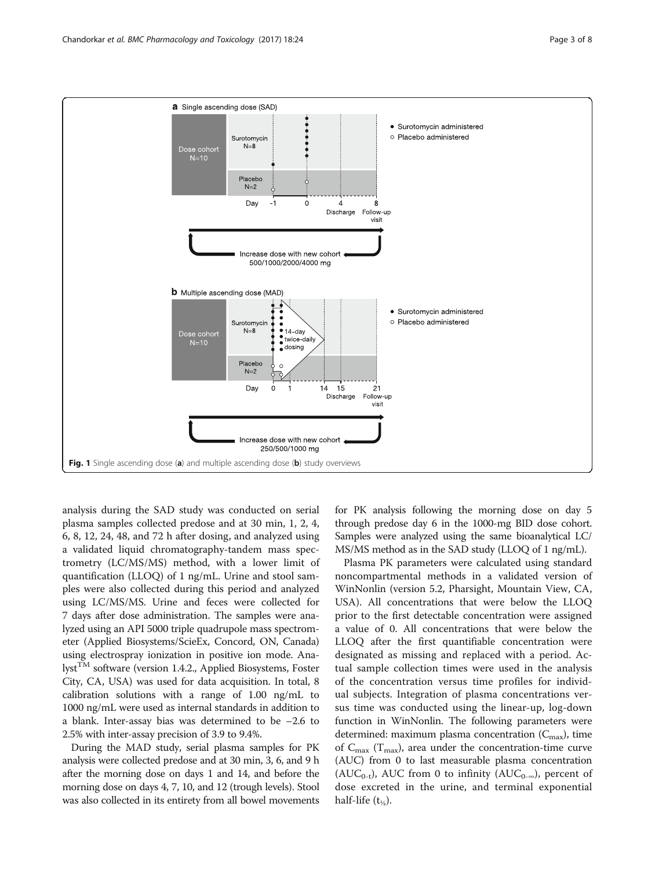<span id="page-2-0"></span>

analysis during the SAD study was conducted on serial plasma samples collected predose and at 30 min, 1, 2, 4, 6, 8, 12, 24, 48, and 72 h after dosing, and analyzed using a validated liquid chromatography-tandem mass spectrometry (LC/MS/MS) method, with a lower limit of quantification (LLOQ) of 1 ng/mL. Urine and stool samples were also collected during this period and analyzed using LC/MS/MS. Urine and feces were collected for 7 days after dose administration. The samples were analyzed using an API 5000 triple quadrupole mass spectrometer (Applied Biosystems/ScieEx, Concord, ON, Canada) using electrospray ionization in positive ion mode. Analyst<sup>TM</sup> software (version 1.4.2., Applied Biosystems, Foster City, CA, USA) was used for data acquisition. In total, 8 calibration solutions with a range of 1.00 ng/mL to 1000 ng/mL were used as internal standards in addition to a blank. Inter-assay bias was determined to be –2.6 to 2.5% with inter-assay precision of 3.9 to 9.4%.

During the MAD study, serial plasma samples for PK analysis were collected predose and at 30 min, 3, 6, and 9 h after the morning dose on days 1 and 14, and before the morning dose on days 4, 7, 10, and 12 (trough levels). Stool was also collected in its entirety from all bowel movements for PK analysis following the morning dose on day 5 through predose day 6 in the 1000-mg BID dose cohort. Samples were analyzed using the same bioanalytical LC/ MS/MS method as in the SAD study (LLOQ of 1 ng/mL).

Plasma PK parameters were calculated using standard noncompartmental methods in a validated version of WinNonlin (version 5.2, Pharsight, Mountain View, CA, USA). All concentrations that were below the LLOQ prior to the first detectable concentration were assigned a value of 0. All concentrations that were below the LLOQ after the first quantifiable concentration were designated as missing and replaced with a period. Actual sample collection times were used in the analysis of the concentration versus time profiles for individual subjects. Integration of plasma concentrations versus time was conducted using the linear-up, log-down function in WinNonlin. The following parameters were determined: maximum plasma concentration  $(C_{\text{max}})$ , time of  $C_{\text{max}}$  (T<sub>max</sub>), area under the concentration-time curve (AUC) from 0 to last measurable plasma concentration (AUC<sub>0-t</sub>), AUC from 0 to infinity (AUC<sub>0-∞</sub>), percent of dose excreted in the urine, and terminal exponential half-life  $(t_{\frac{1}{2}})$ .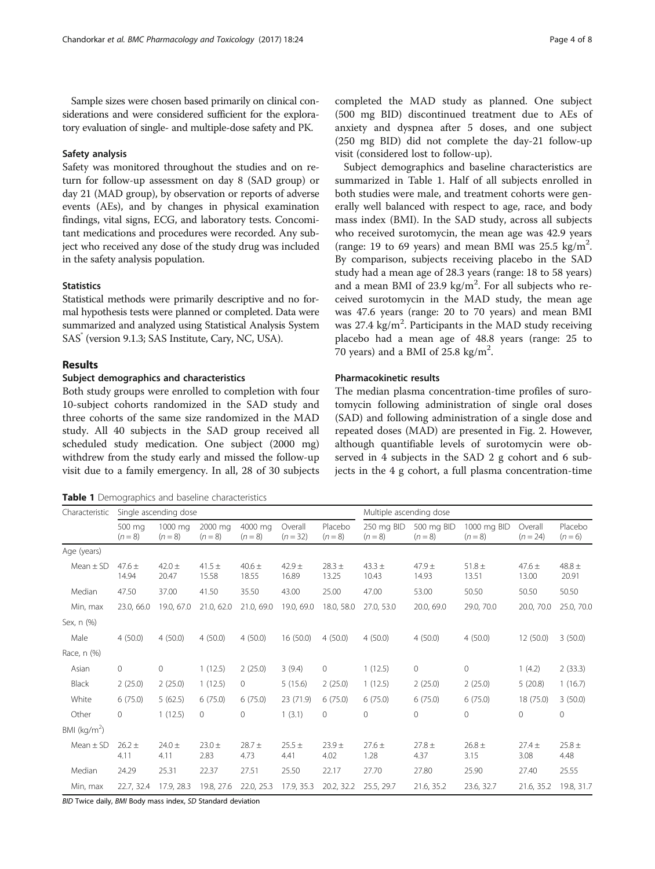Sample sizes were chosen based primarily on clinical considerations and were considered sufficient for the exploratory evaluation of single- and multiple-dose safety and PK.

# Safety analysis

Safety was monitored throughout the studies and on return for follow-up assessment on day 8 (SAD group) or day 21 (MAD group), by observation or reports of adverse events (AEs), and by changes in physical examination findings, vital signs, ECG, and laboratory tests. Concomitant medications and procedures were recorded. Any subject who received any dose of the study drug was included in the safety analysis population.

# **Statistics**

Statistical methods were primarily descriptive and no formal hypothesis tests were planned or completed. Data were summarized and analyzed using Statistical Analysis System SAS<sup>®</sup> (version 9.1.3; SAS Institute, Cary, NC, USA).

# Results

# Subject demographics and characteristics

Both study groups were enrolled to completion with four 10-subject cohorts randomized in the SAD study and three cohorts of the same size randomized in the MAD study. All 40 subjects in the SAD group received all scheduled study medication. One subject (2000 mg) withdrew from the study early and missed the follow-up visit due to a family emergency. In all, 28 of 30 subjects

Table 1 Demographics and baseline characteristics

completed the MAD study as planned. One subject (500 mg BID) discontinued treatment due to AEs of anxiety and dyspnea after 5 doses, and one subject (250 mg BID) did not complete the day-21 follow-up visit (considered lost to follow-up).

Subject demographics and baseline characteristics are summarized in Table 1. Half of all subjects enrolled in both studies were male, and treatment cohorts were generally well balanced with respect to age, race, and body mass index (BMI). In the SAD study, across all subjects who received surotomycin, the mean age was 42.9 years (range: 19 to 69 years) and mean BMI was  $25.5 \text{ kg/m}^2$ . By comparison, subjects receiving placebo in the SAD study had a mean age of 28.3 years (range: 18 to 58 years) and a mean BMI of 23.9 kg/m<sup>2</sup>. For all subjects who received surotomycin in the MAD study, the mean age was 47.6 years (range: 20 to 70 years) and mean BMI was 27.4 kg/m<sup>2</sup>. Participants in the MAD study receiving placebo had a mean age of 48.8 years (range: 25 to 70 years) and a BMI of  $25.8 \text{ kg/m}^2$ .

# Pharmacokinetic results

The median plasma concentration-time profiles of surotomycin following administration of single oral doses (SAD) and following administration of a single dose and repeated doses (MAD) are presented in Fig. [2.](#page-4-0) However, although quantifiable levels of surotomycin were observed in 4 subjects in the SAD 2 g cohort and 6 subjects in the 4 g cohort, a full plasma concentration-time

| Characteristic          | Single ascending dose |                      |                      |                      |                       |                      | Multiple ascending dose |                         |                          |                       |                     |
|-------------------------|-----------------------|----------------------|----------------------|----------------------|-----------------------|----------------------|-------------------------|-------------------------|--------------------------|-----------------------|---------------------|
|                         | 500 mg<br>$(n = 8)$   | 1000 mg<br>$(n = 8)$ | 2000 ma<br>$(n = 8)$ | 4000 mg<br>$(n = 8)$ | Overall<br>$(n = 32)$ | Placebo<br>$(n = 8)$ | 250 mg BID<br>$(n = 8)$ | 500 mg BID<br>$(n = 8)$ | 1000 mg BID<br>$(n = 8)$ | Overall<br>$(n = 24)$ | Placebo<br>$(n=6)$  |
| Age (years)             |                       |                      |                      |                      |                       |                      |                         |                         |                          |                       |                     |
| Mean $\pm$ SD           | $47.6 \pm$<br>14.94   | $42.0 \pm$<br>20.47  | 41.5 $\pm$<br>15.58  | $40.6 \pm$<br>18.55  | $42.9 +$<br>16.89     | $28.3 +$<br>13.25    | $43.3 \pm$<br>10.43     | $47.9 +$<br>14.93       | $51.8 \pm$<br>13.51      | $47.6 \pm$<br>13.00   | $48.8 \pm$<br>20.91 |
| Median                  | 47.50                 | 37.00                | 41.50                | 35.50                | 43.00                 | 25.00                | 47.00                   | 53.00                   | 50.50                    | 50.50                 | 50.50               |
| Min, max                | 23.0, 66.0            | 19.0, 67.0           | 21.0, 62.0           | 21.0, 69.0           | 19.0, 69.0            | 18.0, 58.0           | 27.0, 53.0              | 20.0, 69.0              | 29.0, 70.0               | 20.0, 70.0            | 25.0, 70.0          |
| Sex, n (%)              |                       |                      |                      |                      |                       |                      |                         |                         |                          |                       |                     |
| Male                    | 4(50.0)               | 4(50.0)              | 4(50.0)              | 4(50.0)              | 16(50.0)              | 4(50.0)              | 4(50.0)                 | 4(50.0)                 | 4(50.0)                  | 12 (50.0)             | 3(50.0)             |
| Race, n (%)             |                       |                      |                      |                      |                       |                      |                         |                         |                          |                       |                     |
| Asian                   | $\circ$               | $\circ$              | 1(12.5)              | 2(25.0)              | 3(9.4)                | 0                    | 1(12.5)                 | 0                       | 0                        | 1(4.2)                | 2(33.3)             |
| Black                   | 2(25.0)               | 2(25.0)              | 1(12.5)              | $\circ$              | 5(15.6)               | 2(25.0)              | 1(12.5)                 | 2(25.0)                 | 2(25.0)                  | 5(20.8)               | 1(16.7)             |
| White                   | 6(75.0)               | 5(62.5)              | 6(75.0)              | 6(75.0)              | 23 (71.9)             | 6(75.0)              | 6(75.0)                 | 6(75.0)                 | 6(75.0)                  | 18 (75.0)             | 3(50.0)             |
| Other                   | $\circ$               | 1(12.5)              | 0                    | 0                    | 1(3.1)                | $\mathbf{0}$         | $\circ$                 | 0                       | 0                        | 0                     | 0                   |
| BMI ( $\text{kg/m}^2$ ) |                       |                      |                      |                      |                       |                      |                         |                         |                          |                       |                     |
| Mean $\pm$ SD           | $26.2 +$<br>4.11      | $24.0 \pm$<br>4.11   | $23.0 \pm$<br>2.83   | $28.7 +$<br>4.73     | $25.5 \pm$<br>4.41    | $23.9 +$<br>4.02     | $27.6 \pm$<br>1.28      | $27.8 \pm$<br>4.37      | $26.8 \pm$<br>3.15       | $27.4 \pm$<br>3.08    | $25.8 +$<br>4.48    |
| Median                  | 24.29                 | 25.31                | 22.37                | 27.51                | 25.50                 | 22.17                | 27.70                   | 27.80                   | 25.90                    | 27.40                 | 25.55               |
| Min, max                | 22.7, 32.4            | 17.9, 28.3           | 19.8, 27.6           | 22.0, 25.3           | 17.9, 35.3            | 20.2, 32.2           | 25.5, 29.7              | 21.6, 35.2              | 23.6, 32.7               | 21.6, 35.2            | 19.8, 31.7          |

BID Twice daily, BMI Body mass index, SD Standard deviation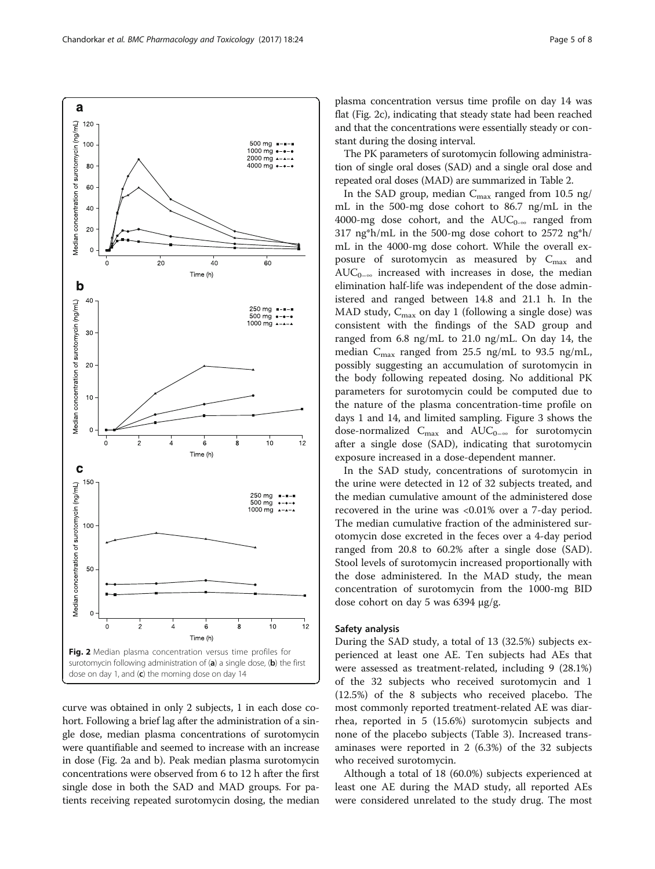curve was obtained in only 2 subjects, 1 in each dose cohort. Following a brief lag after the administration of a single dose, median plasma concentrations of surotomycin were quantifiable and seemed to increase with an increase in dose (Fig. 2a and b). Peak median plasma surotomycin concentrations were observed from 6 to 12 h after the first single dose in both the SAD and MAD groups. For patients receiving repeated surotomycin dosing, the median

In the SAD study, concentrations of surotomycin in the urine were detected in 12 of 32 subjects treated, and the median cumulative amount of the administered dose recovered in the urine was <0.01% over a 7-day period. The median cumulative fraction of the administered surotomycin dose excreted in the feces over a 4-day period ranged from 20.8 to 60.2% after a single dose (SAD). Stool levels of surotomycin increased proportionally with the dose administered. In the MAD study, the mean concentration of surotomycin from the 1000-mg BID dose cohort on day 5 was 6394 μg/g.

# Safety analysis

During the SAD study, a total of 13 (32.5%) subjects experienced at least one AE. Ten subjects had AEs that were assessed as treatment-related, including 9 (28.1%) of the 32 subjects who received surotomycin and 1 (12.5%) of the 8 subjects who received placebo. The most commonly reported treatment-related AE was diarrhea, reported in 5 (15.6%) surotomycin subjects and none of the placebo subjects (Table [3\)](#page-6-0). Increased transaminases were reported in 2 (6.3%) of the 32 subjects who received surotomycin.

Although a total of 18 (60.0%) subjects experienced at least one AE during the MAD study, all reported AEs were considered unrelated to the study drug. The most

<span id="page-4-0"></span>

plasma concentration versus time profile on day 14 was flat (Fig. 2c), indicating that steady state had been reached and that the concentrations were essentially steady or constant during the dosing interval.

The PK parameters of surotomycin following administration of single oral doses (SAD) and a single oral dose and repeated oral doses (MAD) are summarized in Table [2.](#page-5-0)

In the SAD group, median  $C_{\text{max}}$  ranged from 10.5 ng/ mL in the 500-mg dose cohort to 86.7 ng/mL in the 4000-mg dose cohort, and the  $AUC_{0-\infty}$  ranged from 317 ng\*h/mL in the 500-mg dose cohort to 2572 ng\*h/ mL in the 4000-mg dose cohort. While the overall exposure of surotomycin as measured by  $C_{\text{max}}$  and  $AUC_{0-\infty}$  increased with increases in dose, the median elimination half-life was independent of the dose administered and ranged between 14.8 and 21.1 h. In the MAD study,  $C_{\text{max}}$  on day 1 (following a single dose) was consistent with the findings of the SAD group and ranged from 6.8 ng/mL to 21.0 ng/mL. On day 14, the median  $C_{\text{max}}$  ranged from 25.5 ng/mL to 93.5 ng/mL, possibly suggesting an accumulation of surotomycin in the body following repeated dosing. No additional PK parameters for surotomycin could be computed due to the nature of the plasma concentration-time profile on days 1 and 14, and limited sampling. Figure [3](#page-5-0) shows the dose-normalized  $C_{\text{max}}$  and  $AUC_{0-\infty}$  for surotomycin after a single dose (SAD), indicating that surotomycin exposure increased in a dose-dependent manner.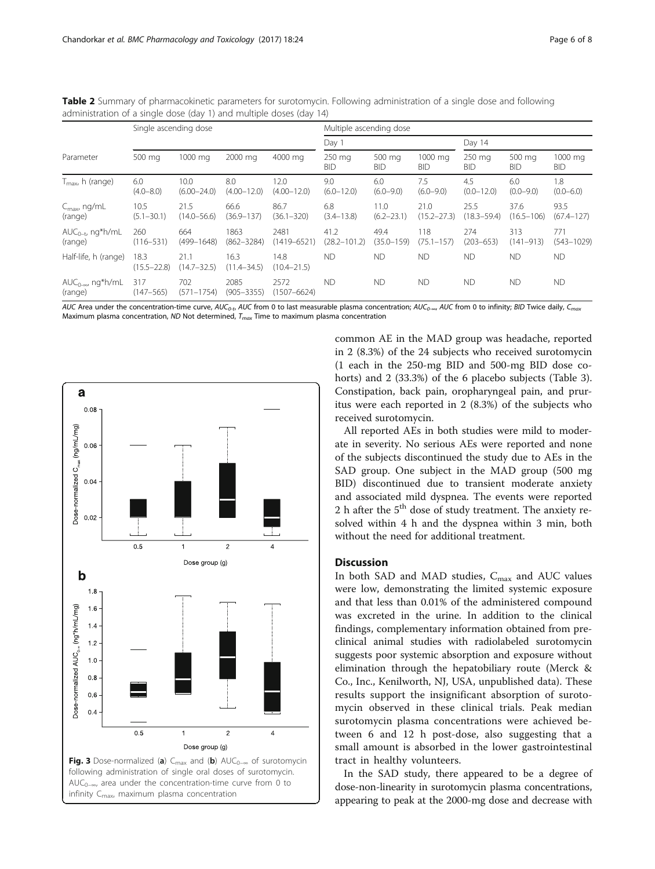<span id="page-5-0"></span>Table 2 Summary of pharmacokinetic parameters for surotomycin. Following administration of a single dose and following administration of a single dose (day 1) and multiple doses (day 14)

|                                       | Single ascending dose   |                         |                         |                         | Multiple ascending dose  |                        |                         |                         |                        |                        |  |
|---------------------------------------|-------------------------|-------------------------|-------------------------|-------------------------|--------------------------|------------------------|-------------------------|-------------------------|------------------------|------------------------|--|
| Parameter                             |                         |                         |                         |                         | Day 1                    |                        |                         | Day 14                  |                        |                        |  |
|                                       | 500 mg                  | 1000 mg                 | 2000 mg                 | 4000 mg                 | 250 mg<br><b>BID</b>     | 500 mg<br><b>BID</b>   | 1000 mg<br><b>BID</b>   | 250 mg<br>BID           | 500 mg<br>BID          | 1000 mg<br><b>BID</b>  |  |
| $T_{\text{max}}$ , h (range)          | 6.0<br>$(4.0 - 8.0)$    | 10.0<br>$(6.00 - 24.0)$ | 8.0<br>$(4.00 - 12.0)$  | 12.0<br>$(4.00 - 12.0)$ | 9.0<br>$(6.0 - 12.0)$    | 6.0<br>$(6.0 - 9.0)$   | 7.5<br>$(6.0 - 9.0)$    | 4.5<br>$(0.0 - 12.0)$   | 6.0<br>$(0.0 - 9.0)$   | 1.8<br>$(0.0 - 6.0)$   |  |
| $C_{\text{max}}$ ng/mL<br>(range)     | 10.5<br>$(5.1 - 30.1)$  | 21.5<br>$(14.0 - 56.6)$ | 66.6<br>$(36.9 - 137)$  | 86.7<br>$(36.1 - 320)$  | 6.8<br>$(3.4 - 13.8)$    | 11.0<br>$(6.2 - 23.1)$ | 21.0<br>$(15.2 - 27.3)$ | 25.5<br>$(18.3 - 59.4)$ | 37.6<br>$(16.5 - 106)$ | 93.5<br>$(67.4 - 127)$ |  |
| $AUC_{0-t}$ , ng*h/mL<br>(range)      | 260<br>$(116 - 531)$    | 664<br>$(499 - 1648)$   | 1863<br>$(862 - 3284)$  | 2481<br>$(1419 - 6521)$ | 41.2<br>$(28.2 - 101.2)$ | 49.4<br>$(35.0 - 159)$ | 118<br>$(75.1 - 157)$   | 274<br>$(203 - 653)$    | 313<br>$(141 - 913)$   | 771<br>$(543 - 1029)$  |  |
| Half-life, h (range)                  | 18.3<br>$(15.5 - 22.8)$ | 21.1<br>$(14.7 - 32.5)$ | 16.3<br>$(11.4 - 34.5)$ | 14.8<br>$(10.4 - 21.5)$ | <b>ND</b>                | <b>ND</b>              | <b>ND</b>               | <b>ND</b>               | <b>ND</b>              | <b>ND</b>              |  |
| $AUC_{0-\infty}$ , ng*h/mL<br>(range) | 317<br>$(147 - 565)$    | 702<br>$(571 - 1754)$   | 2085<br>$(905 - 3355)$  | 2572<br>(1507–6624)     | <b>ND</b>                | <b>ND</b>              | <b>ND</b>               | <b>ND</b>               | <b>ND</b>              | <b>ND</b>              |  |

AUC Area under the concentration-time curve, AUC<sub>0-t</sub>, AUC from 0 to last measurable plasma concentration; AUC<sub>0-∞</sub>, AUC from 0 to infinity; BID Twice daily, C<sub>max</sub> Maximum plasma concentration, ND Not determined,  $T_{max}$  Time to maximum plasma concentration



common AE in the MAD group was headache, reported in 2 (8.3%) of the 24 subjects who received surotomycin (1 each in the 250-mg BID and 500-mg BID dose cohorts) and 2 (33.3%) of the 6 placebo subjects (Table [3](#page-6-0)). Constipation, back pain, oropharyngeal pain, and pruritus were each reported in 2 (8.3%) of the subjects who received surotomycin.

All reported AEs in both studies were mild to moderate in severity. No serious AEs were reported and none of the subjects discontinued the study due to AEs in the SAD group. One subject in the MAD group (500 mg BID) discontinued due to transient moderate anxiety and associated mild dyspnea. The events were reported 2 h after the  $5<sup>th</sup>$  dose of study treatment. The anxiety resolved within 4 h and the dyspnea within 3 min, both without the need for additional treatment.

# **Discussion**

In both SAD and MAD studies,  $C_{\text{max}}$  and AUC values were low, demonstrating the limited systemic exposure and that less than 0.01% of the administered compound was excreted in the urine. In addition to the clinical findings, complementary information obtained from preclinical animal studies with radiolabeled surotomycin suggests poor systemic absorption and exposure without elimination through the hepatobiliary route (Merck & Co., Inc., Kenilworth, NJ, USA, unpublished data). These results support the insignificant absorption of surotomycin observed in these clinical trials. Peak median surotomycin plasma concentrations were achieved between 6 and 12 h post-dose, also suggesting that a small amount is absorbed in the lower gastrointestinal tract in healthy volunteers.

In the SAD study, there appeared to be a degree of dose-non-linearity in surotomycin plasma concentrations, appearing to peak at the 2000-mg dose and decrease with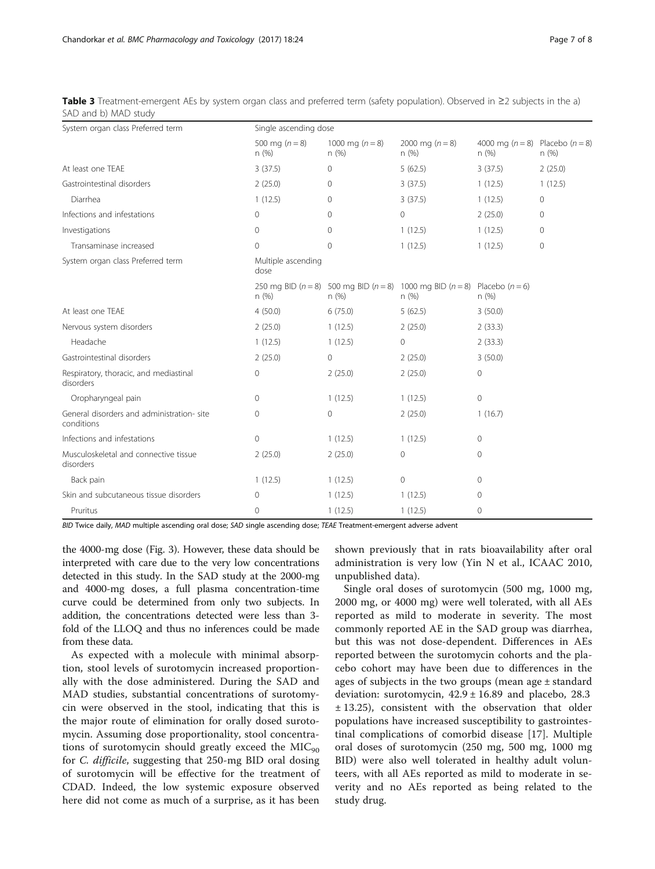| System organ class Preferred term                       |                            | Single ascending dose        |                                                                                                   |                                                 |              |  |  |  |  |
|---------------------------------------------------------|----------------------------|------------------------------|---------------------------------------------------------------------------------------------------|-------------------------------------------------|--------------|--|--|--|--|
|                                                         | 500 mg ( $n = 8$ )<br>n(%) | 1000 mg ( $n = 8$ )<br>n (%) | 2000 mg $(n = 8)$<br>n(%)                                                                         | 4000 mg ( $n = 8$ ) Placebo ( $n = 8$ )<br>n(%) | n(%)         |  |  |  |  |
| At least one TFAF                                       | 3(37.5)                    | $\mathbf{0}$                 | 5(62.5)                                                                                           | 3(37.5)                                         | 2(25.0)      |  |  |  |  |
| Gastrointestinal disorders                              | 2(25.0)                    | $\Omega$                     | 3(37.5)                                                                                           | 1(12.5)                                         | 1(12.5)      |  |  |  |  |
| Diarrhea                                                | 1(12.5)                    | $\mathbf{0}$                 | 3(37.5)                                                                                           | 1(12.5)                                         | $\mathbf{0}$ |  |  |  |  |
| Infections and infestations                             | $\mathbf{0}$               | $\Omega$                     | 0                                                                                                 | 2(25.0)                                         | $\mathbf{0}$ |  |  |  |  |
| Investigations                                          | $\circ$                    | $\mathbf{0}$                 | 1(12.5)                                                                                           | 1(12.5)                                         | $\mathbf{0}$ |  |  |  |  |
| Transaminase increased                                  | $\Omega$                   | $\mathbf{0}$                 | 1(12.5)                                                                                           | 1(12.5)                                         | $\mathbf{0}$ |  |  |  |  |
| System organ class Preferred term                       | Multiple ascending<br>dose |                              |                                                                                                   |                                                 |              |  |  |  |  |
|                                                         | n(%)                       | n(%)                         | 250 mg BID ( $n = 8$ ) 500 mg BID ( $n = 8$ ) 1000 mg BID ( $n = 8$ ) Placebo ( $n = 6$ )<br>n(%) | n(%)                                            |              |  |  |  |  |
| At least one TEAE                                       | 4(50.0)                    | 6(75.0)                      | 5(62.5)                                                                                           | 3(50.0)                                         |              |  |  |  |  |
| Nervous system disorders                                | 2(25.0)                    | 1(12.5)                      | 2(25.0)                                                                                           | 2(33.3)                                         |              |  |  |  |  |
| Headache                                                | 1(12.5)                    | 1(12.5)                      | 0                                                                                                 | 2(33.3)                                         |              |  |  |  |  |
| Gastrointestinal disorders                              | 2(25.0)                    | $\overline{0}$               | 2(25.0)                                                                                           | 3(50.0)                                         |              |  |  |  |  |
| Respiratory, thoracic, and mediastinal<br>disorders     | $\mathbf{0}$               | 2(25.0)                      | 2(25.0)                                                                                           | $\circ$                                         |              |  |  |  |  |
| Oropharyngeal pain                                      | $\mathbf{0}$               | 1(12.5)                      | 1(12.5)                                                                                           | $\mathbf{0}$                                    |              |  |  |  |  |
| General disorders and administration-site<br>conditions | $\Omega$                   | $\circ$                      | 2(25.0)                                                                                           | 1(16.7)                                         |              |  |  |  |  |
| Infections and infestations                             | $\mathbf{0}$               | 1(12.5)                      | 1(12.5)                                                                                           | $\mathbf{0}$                                    |              |  |  |  |  |
| Musculoskeletal and connective tissue<br>disorders      | 2(25.0)                    | 2(25.0)                      | 0                                                                                                 | $\Omega$                                        |              |  |  |  |  |
| Back pain                                               | 1(12.5)                    | 1(12.5)                      | 0                                                                                                 | $\mathbf{0}$                                    |              |  |  |  |  |
| Skin and subcutaneous tissue disorders                  | $\circ$                    | 1(12.5)                      | 1(12.5)                                                                                           | $\mathbf{0}$                                    |              |  |  |  |  |
| Pruritus                                                | $\mathbf{0}$               | 1(12.5)                      | 1(12.5)                                                                                           | $\mathbf 0$                                     |              |  |  |  |  |

<span id="page-6-0"></span>Table 3 Treatment-emergent AEs by system organ class and preferred term (safety population). Observed in ≥2 subjects in the a) SAD and b) MAD study

BID Twice daily, MAD multiple ascending oral dose; SAD single ascending dose; TEAE Treatment-emergent adverse advent

the 4000-mg dose (Fig. [3](#page-5-0)). However, these data should be interpreted with care due to the very low concentrations detected in this study. In the SAD study at the 2000-mg and 4000-mg doses, a full plasma concentration-time curve could be determined from only two subjects. In addition, the concentrations detected were less than 3 fold of the LLOQ and thus no inferences could be made from these data.

As expected with a molecule with minimal absorption, stool levels of surotomycin increased proportionally with the dose administered. During the SAD and MAD studies, substantial concentrations of surotomycin were observed in the stool, indicating that this is the major route of elimination for orally dosed surotomycin. Assuming dose proportionality, stool concentrations of surotomycin should greatly exceed the  $MIC<sub>90</sub>$ for C. difficile, suggesting that 250-mg BID oral dosing of surotomycin will be effective for the treatment of CDAD. Indeed, the low systemic exposure observed here did not come as much of a surprise, as it has been

shown previously that in rats bioavailability after oral administration is very low (Yin N et al., ICAAC 2010, unpublished data).

Single oral doses of surotomycin (500 mg, 1000 mg, 2000 mg, or 4000 mg) were well tolerated, with all AEs reported as mild to moderate in severity. The most commonly reported AE in the SAD group was diarrhea, but this was not dose-dependent. Differences in AEs reported between the surotomycin cohorts and the placebo cohort may have been due to differences in the ages of subjects in the two groups (mean age  $\pm$  standard deviation: surotomycin,  $42.9 \pm 16.89$  and placebo, 28.3 ± 13.25), consistent with the observation that older populations have increased susceptibility to gastrointestinal complications of comorbid disease [\[17](#page-7-0)]. Multiple oral doses of surotomycin (250 mg, 500 mg, 1000 mg BID) were also well tolerated in healthy adult volunteers, with all AEs reported as mild to moderate in severity and no AEs reported as being related to the study drug.